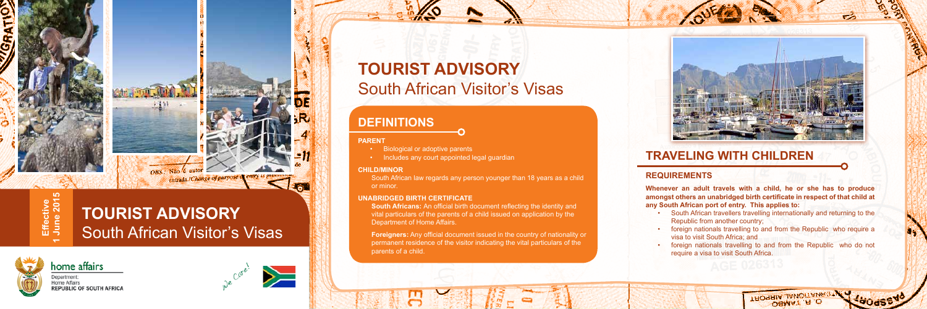

# **TOURIST ADVISORY** South African Visitor's Visas



# **TOURIST ADVISORY** South African Visitor's Visas

# **TRAVELING WITH CHILDREN**

### **REQUIREMENTS**

South African travellers travelling internationally and returning to the Republic from another country;

**Whenever an adult travels with a child, he or she has to produce amongst others an unabridged birth certificate in respect of that child at any South African port of entry. This applies to:**

• foreign nationals travelling to and from the Republic who require a visa to visit South Africa; and

• foreign nationals travelling to and from the Republic who do not require a visa to visit South Africa.

> **IHOGHIA JAHOITAIAR** OBWV1 'H'O

## **DEFINITIONS**

#### **PARENT**

- • Biological or adoptive parents
- • Includes any court appointed legal guardian

### **CHILD/MINOR**

South African law regards any person younger than 18 years as a child or minor.

### **UNABRIDGED BIRTH CERTIFICATE**

**South Africans:** An official birth document reflecting the identity and vital particulars of the parents of a child issued on application by the Department of Home Affairs.

**Foreigners:** Any official document issued in the country of nationality or permanent residence of the visitor indicating the vital particulars of the parents of a child.

- 
- 
- 
- 
- 



**Effective 1 June 2015**

Effective<br>June 201!

**LO** 

Department: **Home Affairs** 

home affairs